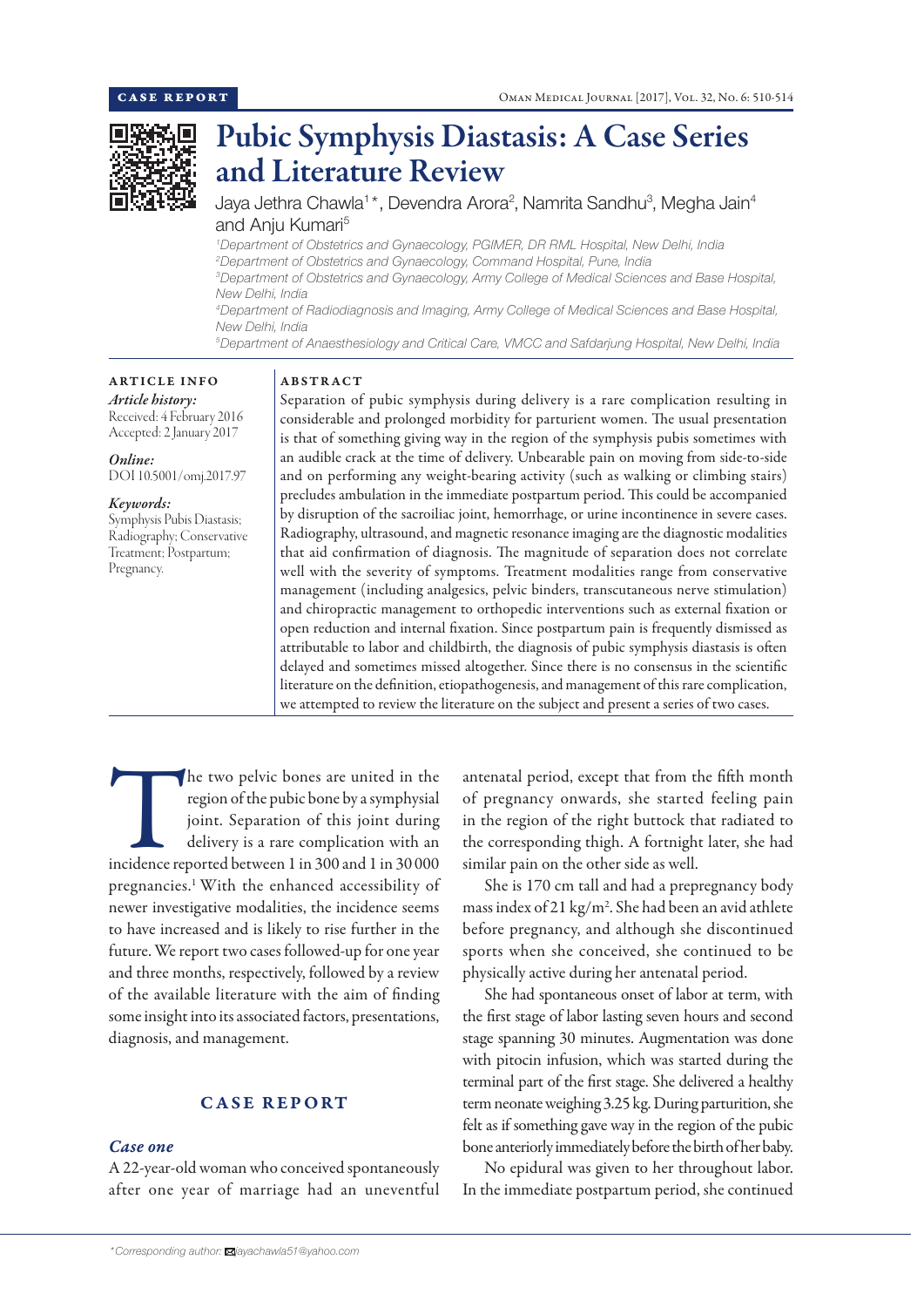

# Pubic Symphysis Diastasis: A Case Series and Literature Review

Jaya Jethra Chawla<sup>1\*</sup>, Devendra Arora<sup>2</sup>, Namrita Sandhu<sup>3</sup>, Megha Jain<sup>4</sup> and Anju Kumari<sup>5</sup>

 *Department of Obstetrics and Gynaecology, PGIMER, DR RML Hospital, New Delhi, India Department of Obstetrics and Gynaecology, Command Hospital, Pune, India Department of Obstetrics and Gynaecology, Army College of Medical Sciences and Base Hospital, New Delhi, India Department of Radiodiagnosis and Imaging, Army College of Medical Sciences and Base Hospital,*

*New Delhi, India*

*5 Department of Anaesthesiology and Critical Care, VMCC and Safdarjung Hospital, New Delhi, India*

# ARTICLE INFO

*Article history:* Received: 4 February 2016 Accepted: 2 January 2017

## *Online:*

DOI 10.5001/omj.2017.97

## *Keywords:*

Symphysis Pubis Diastasis; Radiography; Conservative Treatment; Postpartum; Pregnancy.

## ABSTRACT

Separation of pubic symphysis during delivery is a rare complication resulting in considerable and prolonged morbidity for parturient women. The usual presentation is that of something giving way in the region of the symphysis pubis sometimes with an audible crack at the time of delivery. Unbearable pain on moving from side-to-side and on performing any weight-bearing activity (such as walking or climbing stairs) precludes ambulation in the immediate postpartum period. This could be accompanied by disruption of the sacroiliac joint, hemorrhage, or urine incontinence in severe cases. Radiography, ultrasound, and magnetic resonance imaging are the diagnostic modalities that aid confirmation of diagnosis. The magnitude of separation does not correlate well with the severity of symptoms. Treatment modalities range from conservative management (including analgesics, pelvic binders, transcutaneous nerve stimulation) and chiropractic management to orthopedic interventions such as external fixation or open reduction and internal fixation. Since postpartum pain is frequently dismissed as attributable to labor and childbirth, the diagnosis of pubic symphysis diastasis is often delayed and sometimes missed altogether. Since there is no consensus in the scientific literature on the definition, etiopathogenesis, and management of this rare complication, we attempted to review the literature on the subject and present a series of two cases.

The two pelvic bones are united in the region of the pubic bone by a symphysial joint. Separation of this joint during delivery is a rare complication with an incidence reported between 1 in 300 and 1 in 30 000 region of the pubic bone by a symphysial joint. Separation of this joint during delivery is a rare complication with an pregnancies.1 With the enhanced accessibility of newer investigative modalities, the incidence seems to have increased and is likely to rise further in the future. We report two cases followed-up for one year and three months, respectively, followed by a review of the available literature with the aim of finding some insight into its associated factors, presentations, diagnosis, and management.

# CASE REPORT

# *Case one*

A 22-year-old woman who conceived spontaneously after one year of marriage had an uneventful antenatal period, except that from the fifth month of pregnancy onwards, she started feeling pain in the region of the right buttock that radiated to the corresponding thigh. A fortnight later, she had similar pain on the other side as well.

She is 170 cm tall and had a prepregnancy body mass index of 21 kg/m<sup>2</sup>. She had been an avid athlete before pregnancy, and although she discontinued sports when she conceived, she continued to be physically active during her antenatal period.

She had spontaneous onset of labor at term, with the first stage of labor lasting seven hours and second stage spanning 30 minutes. Augmentation was done with pitocin infusion, which was started during the terminal part of the first stage. She delivered a healthy term neonate weighing 3.25 kg. During parturition, she felt as if something gave way in the region of the pubic bone anteriorly immediately before the birth of her baby.

No epidural was given to her throughout labor. In the immediate postpartum period, she continued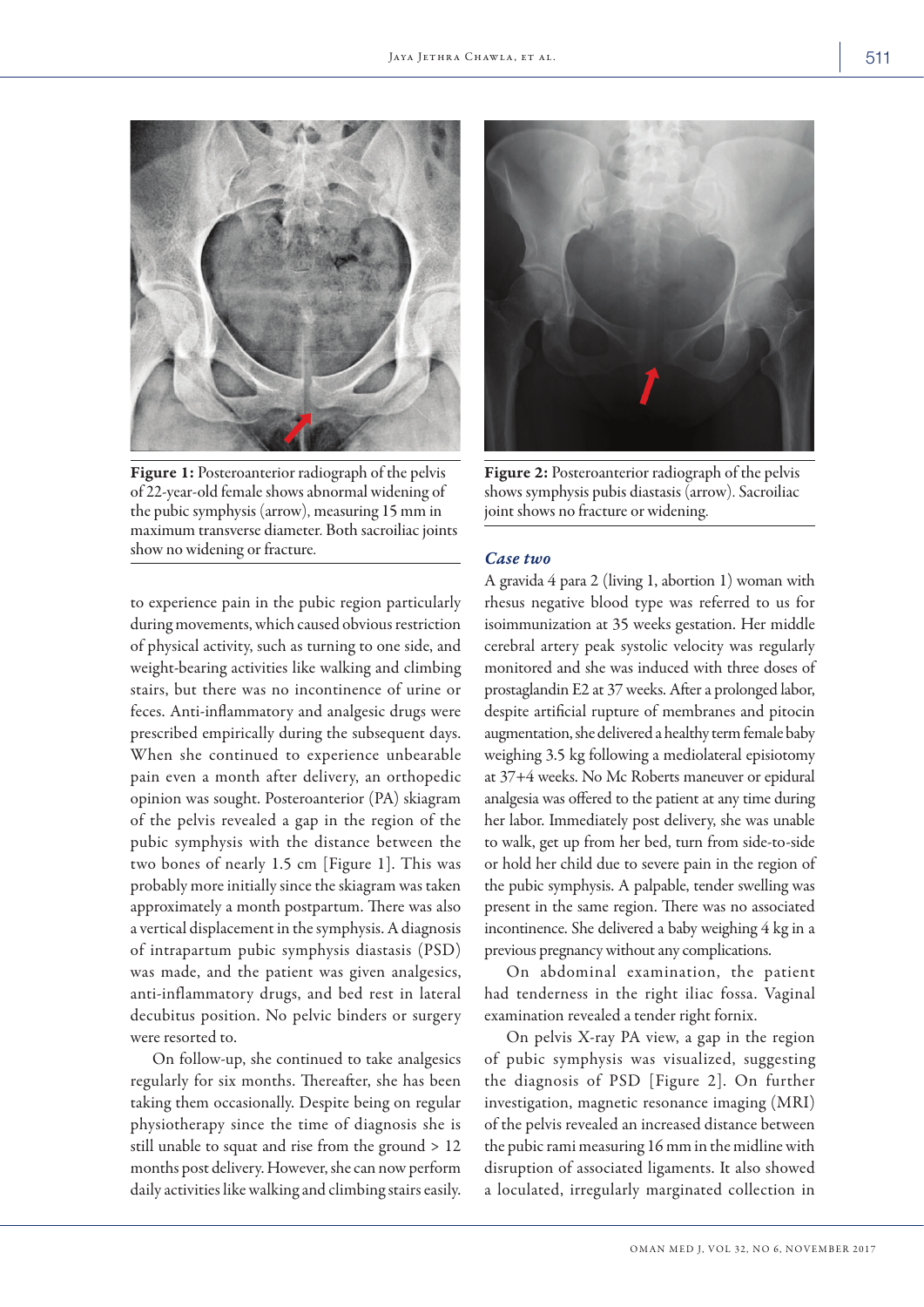

Figure 1: Posteroanterior radiograph of the pelvis of 22-year-old female shows abnormal widening of the pubic symphysis (arrow), measuring 15 mm in maximum transverse diameter. Both sacroiliac joints show no widening or fracture.

to experience pain in the pubic region particularly during movements, which caused obvious restriction of physical activity, such as turning to one side, and weight-bearing activities like walking and climbing stairs, but there was no incontinence of urine or feces. Anti-inflammatory and analgesic drugs were prescribed empirically during the subsequent days. When she continued to experience unbearable pain even a month after delivery, an orthopedic opinion was sought. Posteroanterior (PA) skiagram of the pelvis revealed a gap in the region of the pubic symphysis with the distance between the two bones of nearly 1.5 cm [Figure 1]. This was probably more initially since the skiagram was taken approximately a month postpartum. There was also a vertical displacement in the symphysis. A diagnosis of intrapartum pubic symphysis diastasis (PSD) was made, and the patient was given analgesics, anti-inflammatory drugs, and bed rest in lateral decubitus position. No pelvic binders or surgery were resorted to.

On follow-up, she continued to take analgesics regularly for six months. Thereafter, she has been taking them occasionally. Despite being on regular physiotherapy since the time of diagnosis she is still unable to squat and rise from the ground > 12 months post delivery. However, she can now perform daily activities like walking and climbing stairs easily.



Figure 2: Posteroanterior radiograph of the pelvis shows symphysis pubis diastasis (arrow). Sacroiliac joint shows no fracture or widening.

#### *Case two*

A gravida 4 para 2 (living 1, abortion 1) woman with rhesus negative blood type was referred to us for isoimmunization at 35 weeks gestation. Her middle cerebral artery peak systolic velocity was regularly monitored and she was induced with three doses of prostaglandin E2 at 37 weeks. After a prolonged labor, despite artificial rupture of membranes and pitocin augmentation, she delivered a healthy term female baby weighing 3.5 kg following a mediolateral episiotomy at 37+4 weeks. No Mc Roberts maneuver or epidural analgesia was offered to the patient at any time during her labor. Immediately post delivery, she was unable to walk, get up from her bed, turn from side-to-side or hold her child due to severe pain in the region of the pubic symphysis. A palpable, tender swelling was present in the same region. There was no associated incontinence. She delivered a baby weighing 4 kg in a previous pregnancy without any complications.

On abdominal examination, the patient had tenderness in the right iliac fossa. Vaginal examination revealed a tender right fornix.

On pelvis X-ray PA view, a gap in the region of pubic symphysis was visualized, suggesting the diagnosis of PSD [Figure 2]. On further investigation, magnetic resonance imaging (MRI) of the pelvis revealed an increased distance between the pubic rami measuring 16 mm in the midline with disruption of associated ligaments. It also showed a loculated, irregularly marginated collection in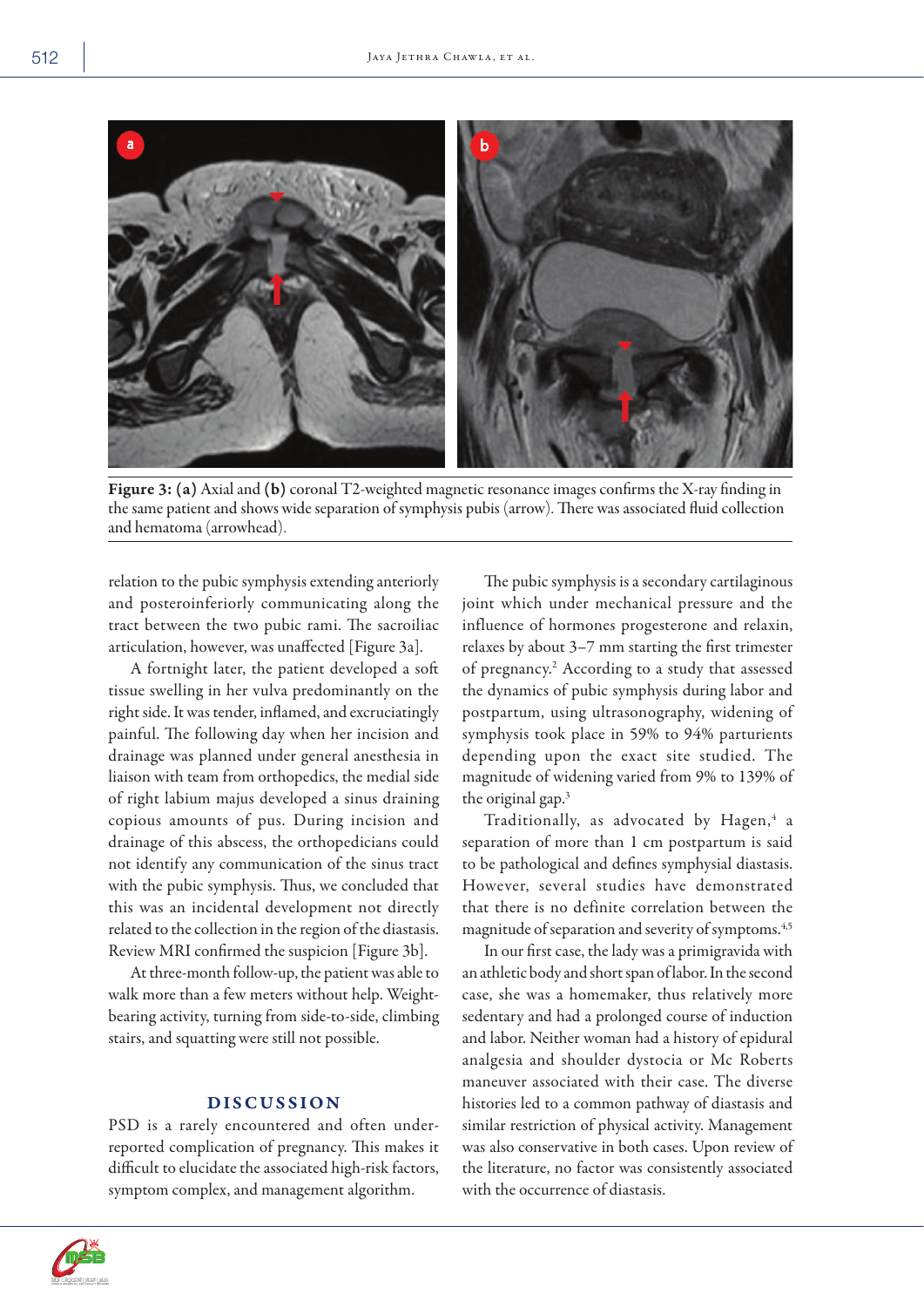

Figure 3:(a) Axial and (b) coronal T2-weighted magnetic resonance images confirms the X-ray finding in the same patient and shows wide separation of symphysis pubis (arrow). There was associated fluid collection and hematoma (arrowhead).

relation to the pubic symphysis extending anteriorly and posteroinferiorly communicating along the tract between the two pubic rami. The sacroiliac articulation, however, was unaffected [Figure 3a].

A fortnight later, the patient developed a soft tissue swelling in her vulva predominantly on the right side. It was tender, inflamed, and excruciatingly painful. The following day when her incision and drainage was planned under general anesthesia in liaison with team from orthopedics, the medial side of right labium majus developed a sinus draining copious amounts of pus. During incision and drainage of this abscess, the orthopedicians could not identify any communication of the sinus tract with the pubic symphysis. Thus, we concluded that this was an incidental development not directly related to the collection in the region of the diastasis. Review MRI confirmed the suspicion [Figure 3b].

At three-month follow-up, the patient was able to walk more than a few meters without help. Weightbearing activity, turning from side-to-side, climbing stairs, and squatting were still not possible.

## DISCUSSION

PSD is a rarely encountered and often underreported complication of pregnancy. This makes it difficult to elucidate the associated high-risk factors, symptom complex, and management algorithm.

The pubic symphysis is a secondary cartilaginous joint which under mechanical pressure and the influence of hormones progesterone and relaxin, relaxes by about 3–7 mm starting the first trimester of pregnancy.<sup>2</sup> According to a study that assessed the dynamics of pubic symphysis during labor and postpartum, using ultrasonography, widening of symphysis took place in 59% to 94% parturients depending upon the exact site studied. The magnitude of widening varied from 9% to 139% of the original gap.3

Traditionally, as advocated by Hagen,<sup>4</sup> a separation of more than 1 cm postpartum is said to be pathological and defines symphysial diastasis. However, several studies have demonstrated that there is no definite correlation between the magnitude of separation and severity of symptoms.<sup>4,5</sup>

In our first case, the lady was a primigravida with an athletic body and short span of labor. In the second case, she was a homemaker, thus relatively more sedentary and had a prolonged course of induction and labor. Neither woman had a history of epidural analgesia and shoulder dystocia or Mc Roberts maneuver associated with their case. The diverse histories led to a common pathway of diastasis and similar restriction of physical activity. Management was also conservative in both cases. Upon review of the literature, no factor was consistently associated with the occurrence of diastasis.



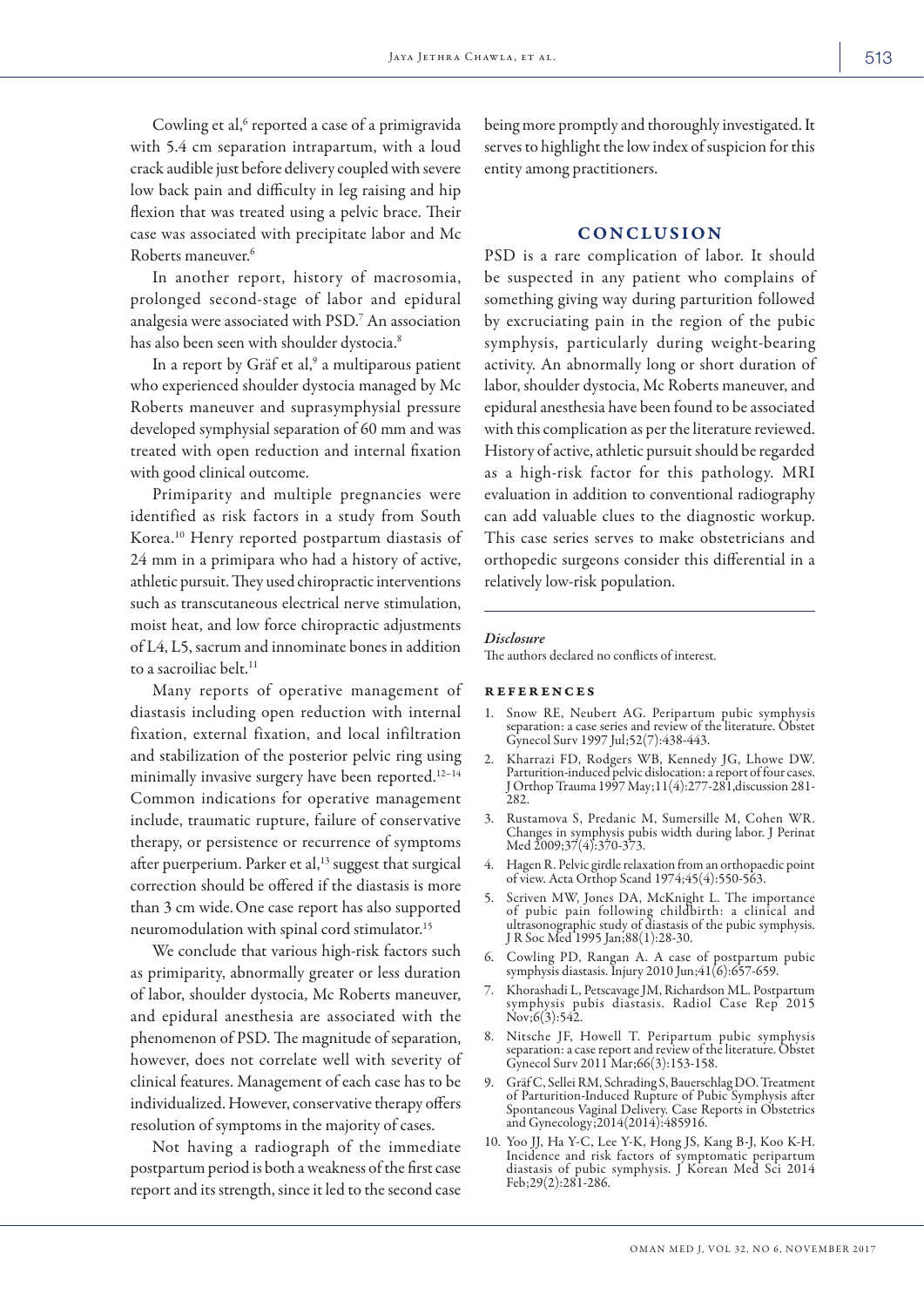Cowling et al,<sup>6</sup> reported a case of a primigravida with 5.4 cm separation intrapartum, with a loud crack audible just before delivery coupled with severe low back pain and difficulty in leg raising and hip flexion that was treated using a pelvic brace. Their case was associated with precipitate labor and Mc Roberts maneuver.6

In another report, history of macrosomia, prolonged second-stage of labor and epidural analgesia were associated with PSD.7 An association has also been seen with shoulder dystocia.<sup>8</sup>

In a report by Gräf et al,<sup>9</sup> a multiparous patient who experienced shoulder dystocia managed by Mc Roberts maneuver and suprasymphysial pressure developed symphysial separation of 60 mm and was treated with open reduction and internal fixation with good clinical outcome.

Primiparity and multiple pregnancies were identified as risk factors in a study from South Korea.10 Henry reported postpartum diastasis of 24 mm in a primipara who had a history of active, athletic pursuit. They used chiropractic interventions such as transcutaneous electrical nerve stimulation, moist heat, and low force chiropractic adjustments of L4, L5, sacrum and innominate bones in addition to a sacroiliac belt.<sup>11</sup>

Many reports of operative management of diastasis including open reduction with internal fixation, external fixation, and local infiltration and stabilization of the posterior pelvic ring using minimally invasive surgery have been reported.12–14 Common indications for operative management include, traumatic rupture, failure of conservative therapy, or persistence or recurrence of symptoms after puerperium. Parker et al, $13$  suggest that surgical correction should be offered if the diastasis is more than 3 cm wide.One case report has also supported neuromodulation with spinal cord stimulator.15

We conclude that various high-risk factors such as primiparity, abnormally greater or less duration of labor, shoulder dystocia, Mc Roberts maneuver, and epidural anesthesia are associated with the phenomenon of PSD. The magnitude of separation, however, does not correlate well with severity of clinical features. Management of each case has to be individualized. However, conservative therapy offers resolution of symptoms in the majority of cases.

Not having a radiograph of the immediate postpartum period is both a weakness of the first case report and its strength, since it led to the second case

being more promptly and thoroughly investigated. It serves to highlight the low index of suspicion for this entity among practitioners.

# **CONCLUSION**

PSD is a rare complication of labor. It should be suspected in any patient who complains of something giving way during parturition followed by excruciating pain in the region of the pubic symphysis, particularly during weight-bearing activity. An abnormally long or short duration of labor, shoulder dystocia, Mc Roberts maneuver, and epidural anesthesia have been found to be associated with this complication as per the literature reviewed. History of active, athletic pursuit should be regarded as a high-risk factor for this pathology. MRI evaluation in addition to conventional radiography can add valuable clues to the diagnostic workup. This case series serves to make obstetricians and orthopedic surgeons consider this differential in a relatively low-risk population.

#### *Disclosure*

The authors declared no conflicts of interest.

### references

- 1. Snow RE, Neubert AG. Peripartum pubic symphysis separation: a case series and review of the literature. Obstet Gynecol Surv 1997 Jul;52(7):438-443.
- 2. Kharrazi FD, Rodgers WB, Kennedy JG, Lhowe DW. Parturition-induced pelvic dislocation: a report of four cases. J Orthop Trauma 1997 May;11(4):277-281,discussion 281- 282.
- 3. Rustamova S, Predanic M, Sumersille M, Cohen WR. Changes in symphysis pubis width during labor. J Perinat Med 2009;37(4):370-373.
- 4. Hagen R. Pelvic girdle relaxation from an orthopaedic point of view. Acta Orthop Scand 1974;45(4):550-563.
- 5. Scriven MW, Jones DA, McKnight L. The importance of pubic pain following childbirth: a clinical and ultrasonographic study of diastasis of the pubic symphysis. J R Soc Med 1995 Jan;88(1):28-30.
- 6. Cowling PD, Rangan A. A case of postpartum pubic symphysis diastasis. Injury 2010 Jun;41(6):657-659.
- 7. Khorashadi L, Petscavage JM, Richardson ML. Postpartum symphysis pubis diastasis. Radiol Case Rep 2015  $Nov; 6(3): 542.$
- 8. Nitsche JF, Howell T. Peripartum pubic symphysis separation: a case report and review of the literature. Obstet Gynecol Surv 2011 Mar;66(3):153-158.
- 9. Gräf C, Sellei RM, Schrading S, Bauerschlag DO. Treatment of Parturition-Induced Rupture of Pubic Symphysis after Spontaneous Vaginal Delivery. Case Reports in Obstetrics and Gynecology;2014(2014):485916.
- 10. Yoo JJ, Ha Y-C, Lee Y-K, Hong JS, Kang B-J, Koo K-H. Incidence and risk factors of symptomatic peripartum diastasis of pubic symphysis. J Korean Med Sci 2014 Feb;29(2):281-286.